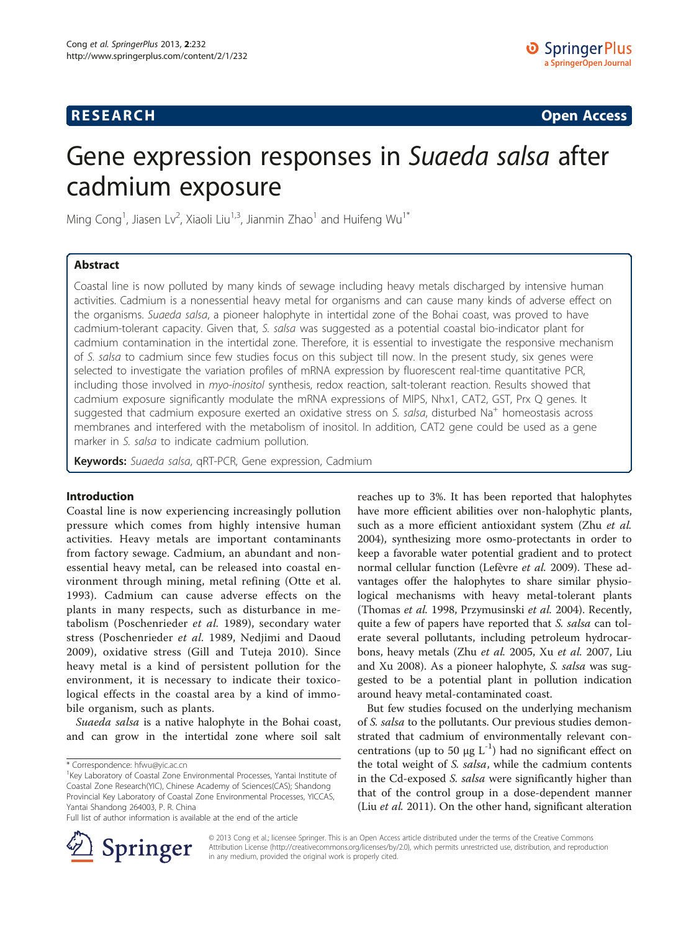## **RESEARCH CHINESE ARCH CHINESE ARCH CHINESE ARCH <b>CHINESE ARCH**

# Gene expression responses in Suaeda salsa after cadmium exposure

Ming Cong<sup>1</sup>, Jiasen Lv<sup>2</sup>, Xiaoli Liu<sup>1,3</sup>, Jianmin Zhao<sup>1</sup> and Huifeng Wu<sup>1\*</sup>

## Abstract

Coastal line is now polluted by many kinds of sewage including heavy metals discharged by intensive human activities. Cadmium is a nonessential heavy metal for organisms and can cause many kinds of adverse effect on the organisms. Suaeda salsa, a pioneer halophyte in intertidal zone of the Bohai coast, was proved to have cadmium-tolerant capacity. Given that, S. salsa was suggested as a potential coastal bio-indicator plant for cadmium contamination in the intertidal zone. Therefore, it is essential to investigate the responsive mechanism of S. salsa to cadmium since few studies focus on this subject till now. In the present study, six genes were selected to investigate the variation profiles of mRNA expression by fluorescent real-time quantitative PCR, including those involved in myo-inositol synthesis, redox reaction, salt-tolerant reaction. Results showed that cadmium exposure significantly modulate the mRNA expressions of MIPS, Nhx1, CAT2, GST, Prx Q genes. It suggested that cadmium exposure exerted an oxidative stress on S. salsa, disturbed Na<sup>+</sup> homeostasis across membranes and interfered with the metabolism of inositol. In addition, CAT2 gene could be used as a gene marker in S. salsa to indicate cadmium pollution.

Keywords: Suaeda salsa, qRT-PCR, Gene expression, Cadmium

## Introduction

Coastal line is now experiencing increasingly pollution pressure which comes from highly intensive human activities. Heavy metals are important contaminants from factory sewage. Cadmium, an abundant and nonessential heavy metal, can be released into coastal environment through mining, metal refining (Otte et al. [1993\)](#page-7-0). Cadmium can cause adverse effects on the plants in many respects, such as disturbance in metabolism (Poschenrieder et al. [1989](#page-7-0)), secondary water stress (Poschenrieder et al. [1989,](#page-7-0) Nedjimi and Daoud [2009\)](#page-7-0), oxidative stress (Gill and Tuteja [2010](#page-6-0)). Since heavy metal is a kind of persistent pollution for the environment, it is necessary to indicate their toxicological effects in the coastal area by a kind of immobile organism, such as plants.

Suaeda salsa is a native halophyte in the Bohai coast, and can grow in the intertidal zone where soil salt reaches up to 3%. It has been reported that halophytes have more efficient abilities over non-halophytic plants, such as a more efficient antioxidant system (Zhu et al. [2004](#page-7-0)), synthesizing more osmo-protectants in order to keep a favorable water potential gradient and to protect normal cellular function (Lefèvre et al. [2009\)](#page-6-0). These advantages offer the halophytes to share similar physiological mechanisms with heavy metal-tolerant plants (Thomas et al. [1998](#page-7-0), Przymusinski et al. [2004](#page-7-0)). Recently, quite a few of papers have reported that S. salsa can tolerate several pollutants, including petroleum hydrocarbons, heavy metals (Zhu et al. [2005](#page-7-0), Xu et al. [2007,](#page-7-0) Liu and Xu [2008](#page-6-0)). As a pioneer halophyte, S. salsa was suggested to be a potential plant in pollution indication around heavy metal-contaminated coast.

But few studies focused on the underlying mechanism of S. salsa to the pollutants. Our previous studies demonstrated that cadmium of environmentally relevant concentrations (up to 50  $\mu$ g L<sup>-1</sup>) had no significant effect on the total weight of S. salsa, while the cadmium contents in the Cd-exposed S. salsa were significantly higher than that of the control group in a dose-dependent manner (Liu *et al.* [2011](#page-6-0)). On the other hand, significant alteration



© 2013 Cong et al.; licensee Springer. This is an Open Access article distributed under the terms of the Creative Commons Attribution License [\(http://creativecommons.org/licenses/by/2.0\)](http://creativecommons.org/licenses/by/2.0), which permits unrestricted use, distribution, and reproduction in any medium, provided the original work is properly cited.

<sup>\*</sup> Correspondence: [hfwu@yic.ac.cn](mailto:hfwu@yic.ac.cn) <sup>1</sup>

<sup>&</sup>lt;sup>1</sup>Key Laboratory of Coastal Zone Environmental Processes, Yantai Institute of Coastal Zone Research(YIC), Chinese Academy of Sciences(CAS); Shandong Provincial Key Laboratory of Coastal Zone Environmental Processes, YICCAS, Yantai Shandong 264003, P. R. China

Full list of author information is available at the end of the article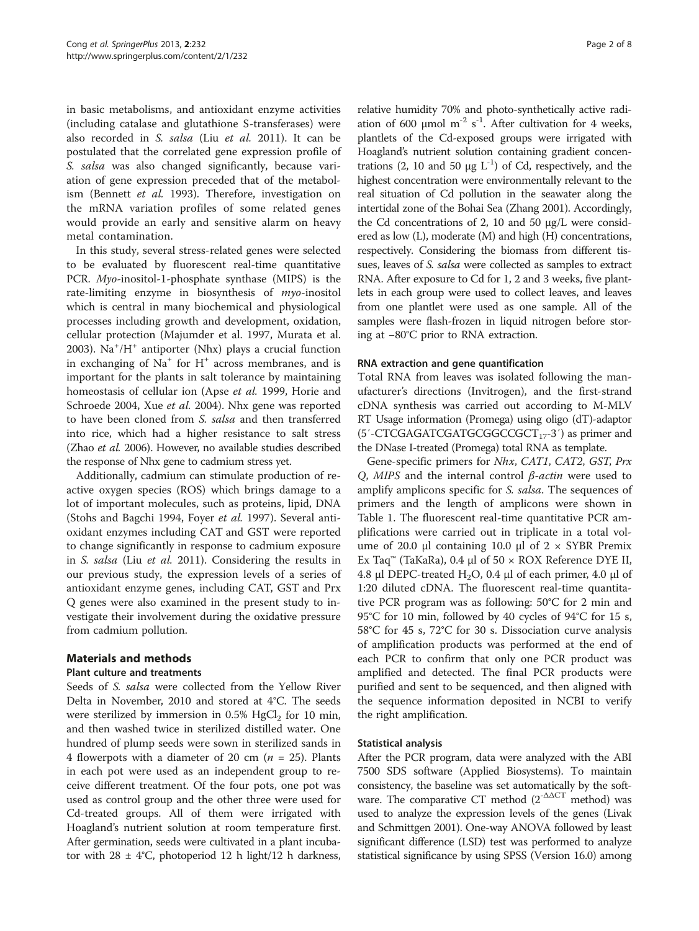in basic metabolisms, and antioxidant enzyme activities (including catalase and glutathione S-transferases) were also recorded in S. salsa (Liu et al. [2011](#page-6-0)). It can be postulated that the correlated gene expression profile of S. salsa was also changed significantly, because variation of gene expression preceded that of the metabolism (Bennett et al. [1993\)](#page-6-0). Therefore, investigation on the mRNA variation profiles of some related genes would provide an early and sensitive alarm on heavy metal contamination.

In this study, several stress-related genes were selected to be evaluated by fluorescent real-time quantitative PCR. Myo-inositol-1-phosphate synthase (MIPS) is the rate-limiting enzyme in biosynthesis of myo-inositol which is central in many biochemical and physiological processes including growth and development, oxidation, cellular protection (Majumder et al. [1997](#page-6-0), Murata et al. [2003](#page-6-0)). Na<sup>+</sup> /H<sup>+</sup> antiporter (Nhx) plays a crucial function in exchanging of  $Na<sup>+</sup>$  for  $H<sup>+</sup>$  across membranes, and is important for the plants in salt tolerance by maintaining homeostasis of cellular ion (Apse et al. [1999,](#page-6-0) Horie and Schroede [2004](#page-6-0), Xue et al. [2004\)](#page-7-0). Nhx gene was reported to have been cloned from S. salsa and then transferred into rice, which had a higher resistance to salt stress (Zhao et al. [2006](#page-7-0)). However, no available studies described the response of Nhx gene to cadmium stress yet.

Additionally, cadmium can stimulate production of reactive oxygen species (ROS) which brings damage to a lot of important molecules, such as proteins, lipid, DNA (Stohs and Bagchi [1994,](#page-7-0) Foyer et al. [1997](#page-6-0)). Several antioxidant enzymes including CAT and GST were reported to change significantly in response to cadmium exposure in S. salsa (Liu et al. [2011](#page-6-0)). Considering the results in our previous study, the expression levels of a series of antioxidant enzyme genes, including CAT, GST and Prx Q genes were also examined in the present study to investigate their involvement during the oxidative pressure from cadmium pollution.

## Materials and methods

## Plant culture and treatments

Seeds of S. salsa were collected from the Yellow River Delta in November, 2010 and stored at 4°C. The seeds were sterilized by immersion in 0.5%  $HgCl<sub>2</sub>$  for 10 min, and then washed twice in sterilized distilled water. One hundred of plump seeds were sown in sterilized sands in 4 flowerpots with a diameter of 20 cm ( $n = 25$ ). Plants in each pot were used as an independent group to receive different treatment. Of the four pots, one pot was used as control group and the other three were used for Cd-treated groups. All of them were irrigated with Hoagland's nutrient solution at room temperature first. After germination, seeds were cultivated in a plant incubator with  $28 \pm 4^{\circ}$ C, photoperiod 12 h light/12 h darkness,

relative humidity 70% and photo-synthetically active radiation of 600  $\mu$ mol m<sup>-2</sup> s<sup>-1</sup>. After cultivation for 4 weeks, plantlets of the Cd-exposed groups were irrigated with Hoagland's nutrient solution containing gradient concentrations (2, 10 and 50 μg  $L^{-1}$ ) of Cd, respectively, and the highest concentration were environmentally relevant to the real situation of Cd pollution in the seawater along the intertidal zone of the Bohai Sea (Zhang [2001](#page-7-0)). Accordingly, the Cd concentrations of 2, 10 and 50 μg/L were considered as low (L), moderate (M) and high (H) concentrations, respectively. Considering the biomass from different tissues, leaves of S. salsa were collected as samples to extract RNA. After exposure to Cd for 1, 2 and 3 weeks, five plantlets in each group were used to collect leaves, and leaves from one plantlet were used as one sample. All of the samples were flash-frozen in liquid nitrogen before storing at −80°C prior to RNA extraction.

## RNA extraction and gene quantification

Total RNA from leaves was isolated following the manufacturer's directions (Invitrogen), and the first-strand cDNA synthesis was carried out according to M-MLV RT Usage information (Promega) using oligo (dT)-adaptor  $(5'$ -CTCGAGATCGATGCGGCCGCT<sub>17</sub>-3') as primer and the DNase I-treated (Promega) total RNA as template.

Gene-specific primers for Nhx, CAT1, CAT2, GST, Prx Q, MIPS and the internal control  $β$ -actin were used to amplify amplicons specific for *S. salsa*. The sequences of primers and the length of amplicons were shown in Table [1](#page-2-0). The fluorescent real-time quantitative PCR amplifications were carried out in triplicate in a total volume of 20.0 μl containing 10.0 μl of  $2 \times$  SYBR Premix Ex Taq™ (TaKaRa), 0.4 μl of 50 × ROX Reference DYE ІІ, 4.8 μl DEPC-treated H<sub>2</sub>O, 0.4 μl of each primer, 4.0 μl of 1:20 diluted cDNA. The fluorescent real-time quantitative PCR program was as following: 50°C for 2 min and 95°C for 10 min, followed by 40 cycles of 94°C for 15 s, 58°C for 45 s, 72°C for 30 s. Dissociation curve analysis of amplification products was performed at the end of each PCR to confirm that only one PCR product was amplified and detected. The final PCR products were purified and sent to be sequenced, and then aligned with the sequence information deposited in NCBI to verify the right amplification.

## Statistical analysis

After the PCR program, data were analyzed with the ABI 7500 SDS software (Applied Biosystems). To maintain consistency, the baseline was set automatically by the software. The comparative CT method  $(2^{-\Delta\Delta CT}$  method) was used to analyze the expression levels of the genes (Livak and Schmittgen [2001\)](#page-6-0). One-way ANOVA followed by least significant difference (LSD) test was performed to analyze statistical significance by using SPSS (Version 16.0) among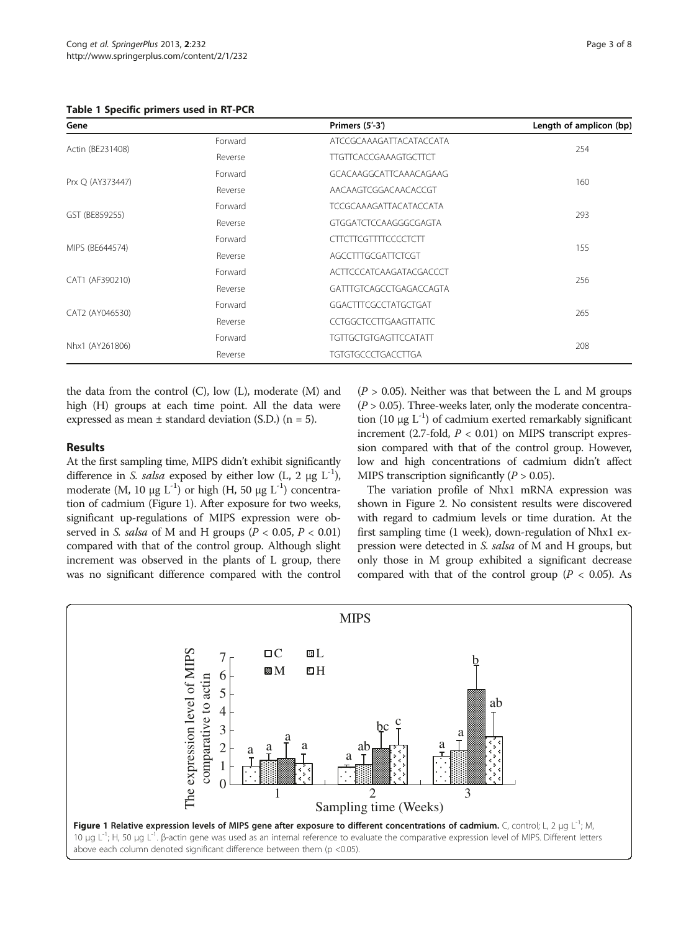<span id="page-2-0"></span>Table 1 Specific primers used in RT-PCR

| Gene             |         | Primers (5'-3')               | Length of amplicon (bp) |
|------------------|---------|-------------------------------|-------------------------|
| Actin (BE231408) | Forward | ATCCGCAAAGATTACATACCATA       | 254                     |
|                  | Reverse | <b>TTGTTCACCGAAAGTGCTTCT</b>  |                         |
| Prx Q (AY373447) | Forward | GCACAAGGCATTCAAACAGAAG        | 160                     |
|                  | Reverse | AACAAGTCGGACAACACCGT          |                         |
| GST (BE859255)   | Forward | <b>TCCGCAAAGATTACATACCATA</b> | 293                     |
|                  | Reverse | GTGGATCTCCAAGGGCGAGTA         |                         |
| MIPS (BE644574)  | Forward | <b>CTTCTTCGTTTTCCCCTCTT</b>   | 155                     |
|                  | Reverse | AGCCTTTGCGATTCTCGT            |                         |
| CAT1 (AF390210)  | Forward | ACTTCCCATCAAGATACGACCCT       | 256                     |
|                  | Reverse | GATTTGTCAGCCTGAGACCAGTA       |                         |
| CAT2 (AY046530)  | Forward | GGACTTTCGCCTATGCTGAT          | 265                     |
|                  | Reverse | <b>CCTGGCTCCTTGAAGTTATTC</b>  |                         |
| Nhx1 (AY261806)  | Forward | <b>TGTTGCTGTGAGTTCCATATT</b>  | 208                     |
|                  | Reverse | <b>TGTGTGCCCTGACCTTGA</b>     |                         |

the data from the control (C), low (L), moderate (M) and high (H) groups at each time point. All the data were expressed as mean  $\pm$  standard deviation (S.D.) (n = 5).

## Results

At the first sampling time, MIPS didn't exhibit significantly difference in S. salsa exposed by either low  $(L, 2 \mu g L^{-1})$ , moderate (M, 10 μg  $L^{-1}$ ) or high (H, 50 μg  $L^{-1}$ ) concentration of cadmium (Figure 1). After exposure for two weeks, significant up-regulations of MIPS expression were observed in S. salsa of M and H groups ( $P < 0.05$ ,  $P < 0.01$ ) compared with that of the control group. Although slight increment was observed in the plants of L group, there was no significant difference compared with the control

 $(P > 0.05)$ . Neither was that between the L and M groups  $(P > 0.05)$ . Three-weeks later, only the moderate concentration (10 μg  $L^{-1}$ ) of cadmium exerted remarkably significant increment (2.7-fold,  $P < 0.01$ ) on MIPS transcript expression compared with that of the control group. However, low and high concentrations of cadmium didn't affect MIPS transcription significantly ( $P > 0.05$ ).

The variation profile of Nhx1 mRNA expression was shown in Figure [2](#page-3-0). No consistent results were discovered with regard to cadmium levels or time duration. At the first sampling time (1 week), down-regulation of Nhx1 expression were detected in S. salsa of M and H groups, but only those in M group exhibited a significant decrease compared with that of the control group ( $P < 0.05$ ). As

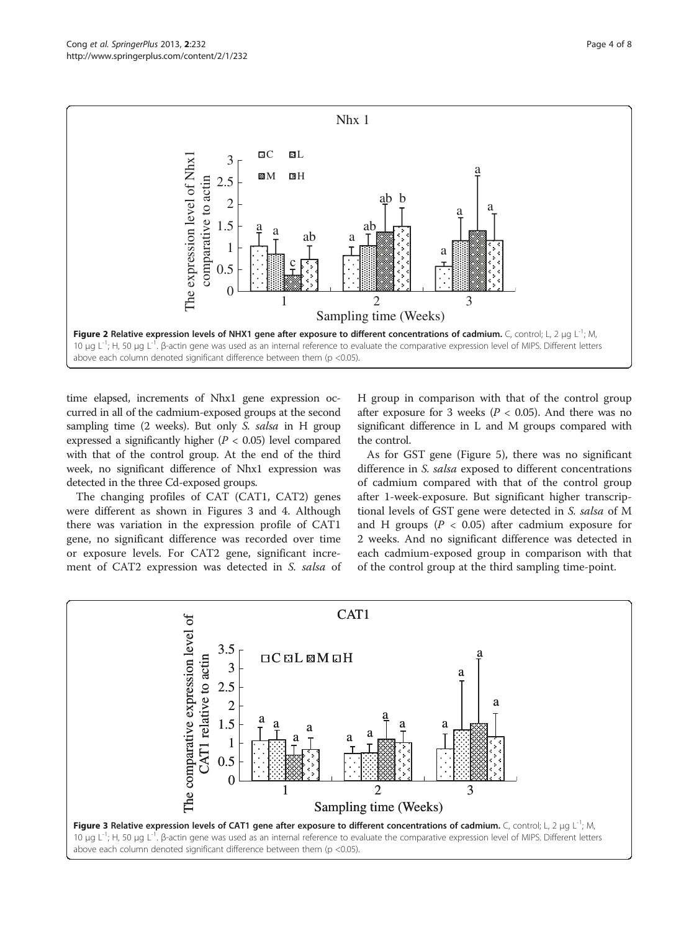<span id="page-3-0"></span>

time elapsed, increments of Nhx1 gene expression occurred in all of the cadmium-exposed groups at the second sampling time (2 weeks). But only S. salsa in H group expressed a significantly higher  $(P < 0.05)$  level compared with that of the control group. At the end of the third week, no significant difference of Nhx1 expression was detected in the three Cd-exposed groups.

The changing profiles of CAT (CAT1, CAT2) genes were different as shown in Figures 3 and [4](#page-4-0). Although there was variation in the expression profile of CAT1 gene, no significant difference was recorded over time or exposure levels. For CAT2 gene, significant increment of CAT2 expression was detected in S. salsa of H group in comparison with that of the control group after exposure for 3 weeks ( $P < 0.05$ ). And there was no significant difference in L and M groups compared with the control.

As for GST gene (Figure [5\)](#page-4-0), there was no significant difference in S. salsa exposed to different concentrations of cadmium compared with that of the control group after 1-week-exposure. But significant higher transcriptional levels of GST gene were detected in S. salsa of M and H groups ( $P < 0.05$ ) after cadmium exposure for 2 weeks. And no significant difference was detected in each cadmium-exposed group in comparison with that of the control group at the third sampling time-point.

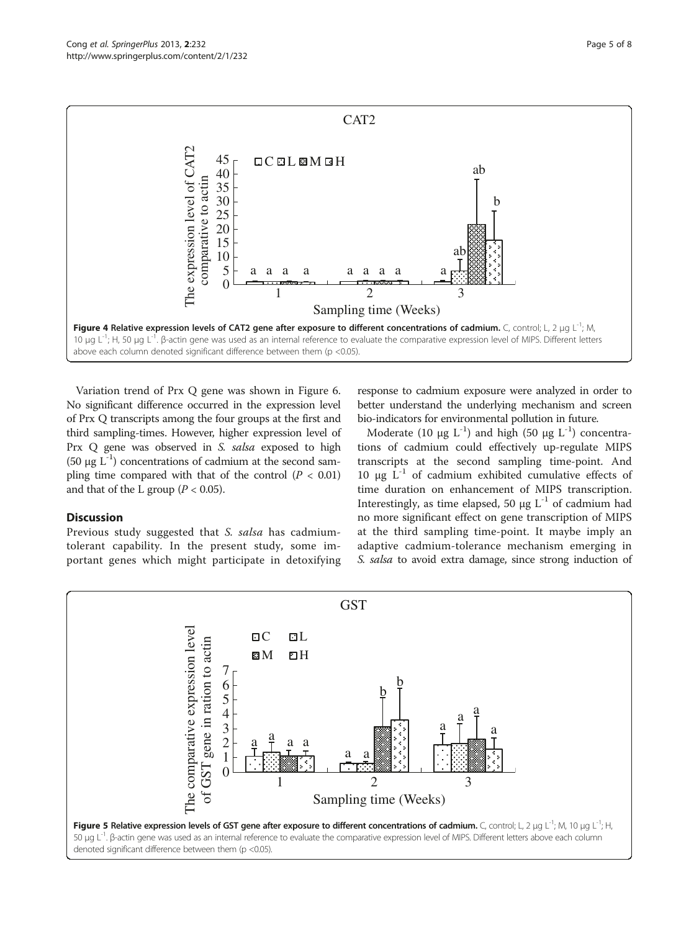<span id="page-4-0"></span>

Variation trend of Prx Q gene was shown in Figure [6](#page-5-0). No significant difference occurred in the expression level of Prx Q transcripts among the four groups at the first and third sampling-times. However, higher expression level of Prx Q gene was observed in S. salsa exposed to high (50 μg  $L^{-1}$ ) concentrations of cadmium at the second sampling time compared with that of the control  $(P < 0.01)$ and that of the L group ( $P < 0.05$ ).

## **Discussion**

Previous study suggested that S. salsa has cadmiumtolerant capability. In the present study, some important genes which might participate in detoxifying

response to cadmium exposure were analyzed in order to better understand the underlying mechanism and screen bio-indicators for environmental pollution in future.

Moderate (10 μg L<sup>-1</sup>) and high (50 μg L<sup>-1</sup>) concentrations of cadmium could effectively up-regulate MIPS transcripts at the second sampling time-point. And 10 μg  $L^{-1}$  of cadmium exhibited cumulative effects of time duration on enhancement of MIPS transcription. Interestingly, as time elapsed, 50  $\mu$ g L<sup>-1</sup> of cadmium had no more significant effect on gene transcription of MIPS at the third sampling time-point. It maybe imply an adaptive cadmium-tolerance mechanism emerging in S. salsa to avoid extra damage, since strong induction of

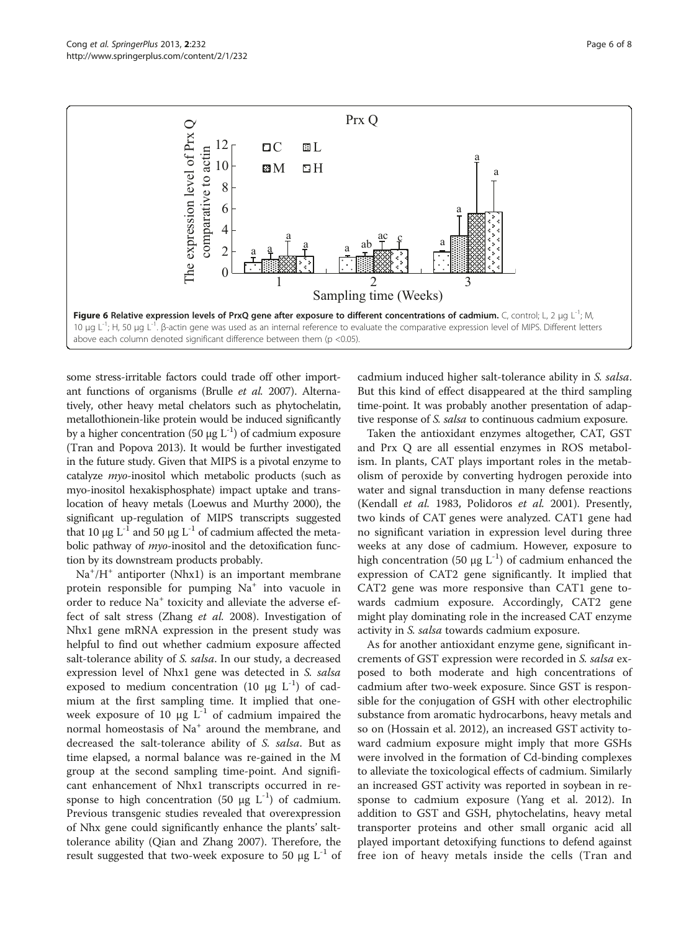<span id="page-5-0"></span>

some stress-irritable factors could trade off other important functions of organisms (Brulle et al. [2007\)](#page-6-0). Alternatively, other heavy metal chelators such as phytochelatin, metallothionein-like protein would be induced significantly by a higher concentration (50 μg  $L^{-1}$ ) of cadmium exposure (Tran and Popova [2013](#page-7-0)). It would be further investigated in the future study. Given that MIPS is a pivotal enzyme to catalyze myo-inositol which metabolic products (such as myo-inositol hexakisphosphate) impact uptake and translocation of heavy metals (Loewus and Murthy [2000\)](#page-6-0), the significant up-regulation of MIPS transcripts suggested that 10 μg L<sup>-1</sup> and 50 μg L<sup>-1</sup> of cadmium affected the metabolic pathway of *myo*-inositol and the detoxification function by its downstream products probably.

Na<sup>+</sup>/H<sup>+</sup> antiporter (Nhx1) is an important membrane protein responsible for pumping Na<sup>+</sup> into vacuole in order to reduce Na<sup>+</sup> toxicity and alleviate the adverse effect of salt stress (Zhang et al. [2008](#page-7-0)). Investigation of Nhx1 gene mRNA expression in the present study was helpful to find out whether cadmium exposure affected salt-tolerance ability of *S. salsa*. In our study, a decreased expression level of Nhx1 gene was detected in S. salsa exposed to medium concentration (10 μg  $L^{-1}$ ) of cadmium at the first sampling time. It implied that oneweek exposure of 10  $\mu$ g L<sup>-1</sup> of cadmium impaired the normal homeostasis of Na<sup>+</sup> around the membrane, and decreased the salt-tolerance ability of S. salsa. But as time elapsed, a normal balance was re-gained in the M group at the second sampling time-point. And significant enhancement of Nhx1 transcripts occurred in response to high concentration (50 μg  $L^{-1}$ ) of cadmium. Previous transgenic studies revealed that overexpression of Nhx gene could significantly enhance the plants' salttolerance ability (Qian and Zhang [2007](#page-7-0)). Therefore, the result suggested that two-week exposure to 50  $\mu$ g L<sup>-1</sup> of cadmium induced higher salt-tolerance ability in S. salsa. But this kind of effect disappeared at the third sampling time-point. It was probably another presentation of adaptive response of S. salsa to continuous cadmium exposure.

Taken the antioxidant enzymes altogether, CAT, GST and Prx Q are all essential enzymes in ROS metabolism. In plants, CAT plays important roles in the metabolism of peroxide by converting hydrogen peroxide into water and signal transduction in many defense reactions (Kendall et al. [1983,](#page-6-0) Polidoros et al. [2001\)](#page-7-0). Presently, two kinds of CAT genes were analyzed. CAT1 gene had no significant variation in expression level during three weeks at any dose of cadmium. However, exposure to high concentration (50 μg L<sup>-1</sup>) of cadmium enhanced the expression of CAT2 gene significantly. It implied that CAT2 gene was more responsive than CAT1 gene towards cadmium exposure. Accordingly, CAT2 gene might play dominating role in the increased CAT enzyme activity in S. salsa towards cadmium exposure.

As for another antioxidant enzyme gene, significant increments of GST expression were recorded in S. salsa exposed to both moderate and high concentrations of cadmium after two-week exposure. Since GST is responsible for the conjugation of GSH with other electrophilic substance from aromatic hydrocarbons, heavy metals and so on (Hossain et al. [2012](#page-6-0)), an increased GST activity toward cadmium exposure might imply that more GSHs were involved in the formation of Cd-binding complexes to alleviate the toxicological effects of cadmium. Similarly an increased GST activity was reported in soybean in response to cadmium exposure (Yang et al. [2012](#page-7-0)). In addition to GST and GSH, phytochelatins, heavy metal transporter proteins and other small organic acid all played important detoxifying functions to defend against free ion of heavy metals inside the cells (Tran and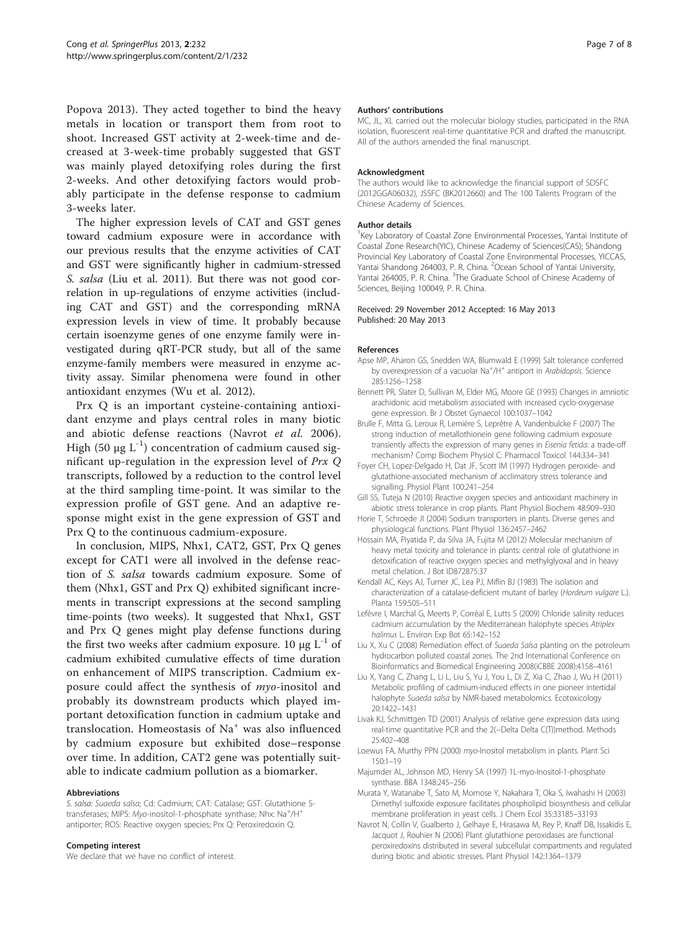<span id="page-6-0"></span>Popova [2013](#page-7-0)). They acted together to bind the heavy metals in location or transport them from root to shoot. Increased GST activity at 2-week-time and decreased at 3-week-time probably suggested that GST was mainly played detoxifying roles during the first 2-weeks. And other detoxifying factors would probably participate in the defense response to cadmium 3-weeks later.

The higher expression levels of CAT and GST genes toward cadmium exposure were in accordance with our previous results that the enzyme activities of CAT and GST were significantly higher in cadmium-stressed S. salsa (Liu et al. 2011). But there was not good correlation in up-regulations of enzyme activities (including CAT and GST) and the corresponding mRNA expression levels in view of time. It probably because certain isoenzyme genes of one enzyme family were investigated during qRT-PCR study, but all of the same enzyme-family members were measured in enzyme activity assay. Similar phenomena were found in other antioxidant enzymes (Wu et al. [2012](#page-7-0)).

Prx Q is an important cysteine-containing antioxidant enzyme and plays central roles in many biotic and abiotic defense reactions (Navrot et al. 2006). High (50 μg  $L^{-1}$ ) concentration of cadmium caused significant up-regulation in the expression level of Prx Q transcripts, followed by a reduction to the control level at the third sampling time-point. It was similar to the expression profile of GST gene. And an adaptive response might exist in the gene expression of GST and Prx Q to the continuous cadmium-exposure.

In conclusion, MIPS, Nhx1, CAT2, GST, Prx Q genes except for CAT1 were all involved in the defense reaction of S. salsa towards cadmium exposure. Some of them (Nhx1, GST and Prx Q) exhibited significant increments in transcript expressions at the second sampling time-points (two weeks). It suggested that Nhx1, GST and Prx Q genes might play defense functions during the first two weeks after cadmium exposure. 10 μg  $L^{-1}$  of cadmium exhibited cumulative effects of time duration on enhancement of MIPS transcription. Cadmium exposure could affect the synthesis of myo-inositol and probably its downstream products which played important detoxification function in cadmium uptake and translocation. Homeostasis of  $Na<sup>+</sup>$  was also influenced by cadmium exposure but exhibited dose–response over time. In addition, CAT2 gene was potentially suitable to indicate cadmium pollution as a biomarker.

#### Abbreviations

S. salsa: Suaeda salsa; Cd: Cadmium; CAT: Catalase; GST: Glutathione Stransferases; MIPS: Myo-inositol-1-phosphate synthase; Nhx: Na<sup>+</sup>/H<sup>+</sup> antiporter; ROS: Reactive oxygen species; Prx Q: Peroxiredoxin Q.

#### Competing interest

We declare that we have no conflict of interest.

#### Authors' contributions

MC, JL, XL carried out the molecular biology studies, participated in the RNA isolation, fluorescent real-time quantitative PCR and drafted the manuscript. All of the authors amended the final manuscript.

#### Acknowledgment

The authors would like to acknowledge the financial support of SDSFC (2012GGA06032), JSSFC (BK2012660) and The 100 Talents Program of the Chinese Academy of Sciences.

#### Author details

<sup>1</sup>Key Laboratory of Coastal Zone Environmental Processes, Yantai Institute of Coastal Zone Research(YIC), Chinese Academy of Sciences(CAS); Shandong Provincial Key Laboratory of Coastal Zone Environmental Processes, YICCAS, Yantai Shandong 264003, P. R. China. <sup>2</sup>Ocean School of Yantai University, Yantai 264005, P. R. China. <sup>3</sup>The Graduate School of Chinese Academy of Sciences, Beijing 100049, P. R. China.

#### Received: 29 November 2012 Accepted: 16 May 2013 Published: 20 May 2013

#### References

- Apse MP, Aharon GS, Snedden WA, Blumwald E (1999) Salt tolerance conferred by overexpression of a vacuolar Na<sup>+</sup>/H<sup>+</sup> antiport in Arabidopsis. Science 285:1256–1258
- Bennett PR, Slater D, Sullivan M, Elder MG, Moore GE (1993) Changes in amniotic arachidonic acid metabolism associated with increased cyclo-oxygenase gene expression. Br J Obstet Gynaecol 100:1037–1042
- Brulle F, Mitta G, Leroux R, Lemière S, Leprêtre A, Vandenbulcke F (2007) The strong induction of metallothionein gene following cadmium exposure transiently affects the expression of many genes in Eisenia fetida: a trade-off mechanism? Comp Biochem Physiol C: Pharmacol Toxicol 144:334–341
- Foyer CH, Lopez-Delgado H, Dat JF, Scott IM (1997) Hydrogen peroxide- and glutathione-associated mechanism of acclimatory stress tolerance and signalling. Physiol Plant 100:241–254
- Gill SS, Tuteja N (2010) Reactive oxygen species and antioxidant machinery in abiotic stress tolerance in crop plants. Plant Physiol Biochem 48:909–930
- Horie T, Schroede JI (2004) Sodium transporters in plants. Diverse genes and physiological functions. Plant Physiol 136:2457–2462
- Hossain MA, Piyatida P, da Silva JA, Fujita M (2012) Molecular mechanism of heavy metal toxicity and tolerance in plants: central role of glutathione in detoxification of reactive oxygen species and methylglyoxal and in heavy metal chelation. J Bot ID872875:37
- Kendall AC, Keys AJ, Turner JC, Lea PJ, Miflin BJ (1983) The isolation and characterization of a catalase-deficient mutant of barley (Hordeum vulgare L.). Planta 159:505–511
- Lefèvre I, Marchal G, Meerts P, Corrèal E, Lutts S (2009) Chloride salinity reduces cadmium accumulation by the Mediterranean halophyte species Atriplex halimus L. Environ Exp Bot 65:142–152
- Liu X, Xu C (2008) Remediation effect of Suaeda Salsa planting on the petroleum hydrocarbon polluted coastal zones. The 2nd International Conference on Bioinformatics and Biomedical Engineering 2008(iCBBE 2008):4158–4161
- Liu X, Yang C, Zhang L, Li L, Liu S, Yu J, You L, Di Z, Xia C, Zhao J, Wu H (2011) Metabolic profiling of cadmium-induced effects in one pioneer intertidal halophyte Suaeda salsa by NMR-based metabolomics. Ecotoxicology 20:1422–1431
- Livak KJ, Schmittgen TD (2001) Analysis of relative gene expression data using real-time quantitative PCR and the 2(−Delta Delta C(T))method. Methods 25:402–408
- Loewus FA, Murthy PPN (2000) myo-Inositol metabolism in plants. Plant Sci 150:1–19
- Majumder AL, Johnson MD, Henry SA (1997) 1L-myo-Inositol-1-phosphate synthase. BBA 1348:245–256
- Murata Y, Watanabe T, Sato M, Momose Y, Nakahara T, Oka S, Iwahashi H (2003) Dimethyl sulfoxide exposure facilitates phospholipid biosynthesis and cellular membrane proliferation in yeast cells. J Chem Ecol 35:33185–33193
- Navrot N, Collin V, Gualberto J, Gelhaye E, Hirasawa M, Rey P, Knaff DB, Issakidis E, Jacquot J, Rouhier N (2006) Plant glutathione peroxidases are functional peroxiredoxins distributed in several subcellular compartments and regulated during biotic and abiotic stresses. Plant Physiol 142:1364–1379